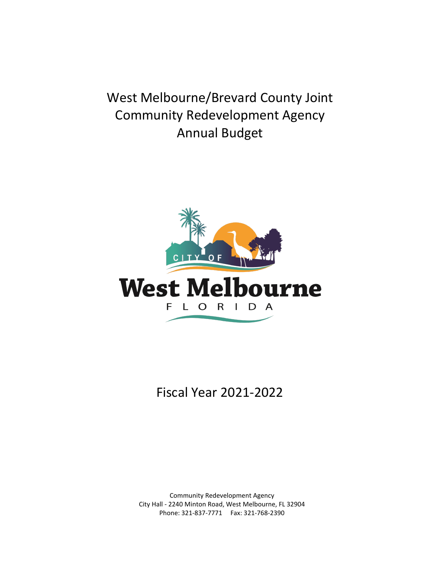West Melbourne/Brevard County Joint Community Redevelopment Agency Annual Budget



Fiscal Year 2021-2022

Community Redevelopment Agency City Hall - 2240 Minton Road, West Melbourne, FL 32904 Phone: 321-837-7771 Fax: 321-768-2390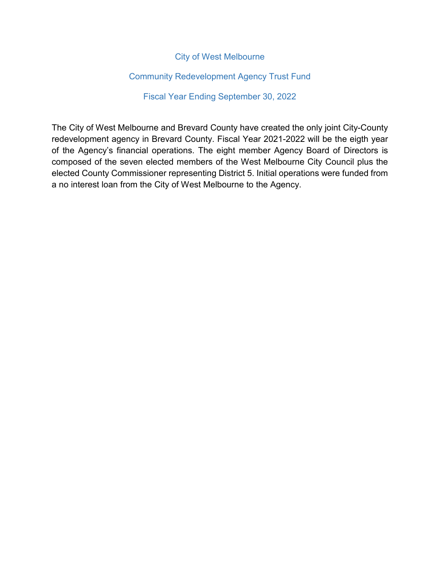#### City of West Melbourne

#### Community Redevelopment Agency Trust Fund

#### Fiscal Year Ending September 30, 2022

The City of West Melbourne and Brevard County have created the only joint City-County redevelopment agency in Brevard County. Fiscal Year 2021-2022 will be the eigth year of the Agency's financial operations. The eight member Agency Board of Directors is composed of the seven elected members of the West Melbourne City Council plus the elected County Commissioner representing District 5. Initial operations were funded from a no interest loan from the City of West Melbourne to the Agency.